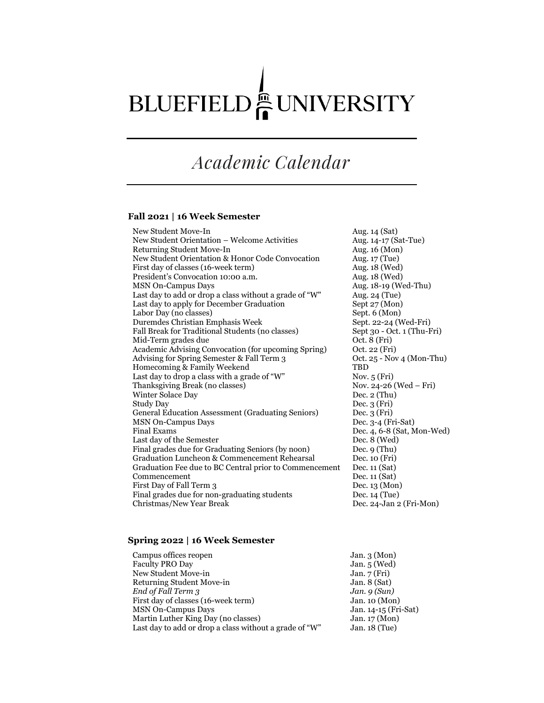# BLUEFIELD EUNIVERSITY

## *Academic Calendar*

#### **Fall 2021 | 16 Week Semester**

New Student Move-In Aug. 14 (Sat) New Student Orientation – Welcome Activities Aug. 14-17 (Sat-Tue) Returning Student Move-In Aug. 16 (Mon) New Student Orientation & Honor Code Convocation Aug. 17 (Tue) First day of classes (16-week term) Aug. 18 (Wed) President's Convocation 10:00 a.m. Aug. 18 (Wed) MSN On-Campus Days **Aug. 18-19 (Wed-Thu)** Last day to add or drop a class without a grade of "W" Aug. 24 (Tue) Last day to apply for December Graduation Sept 27 (Mon)<br>Labor Day (no classes) Sept. 6 (Mon) Labor Day (no classes) Duremdes Christian Emphasis Week Sept. 22-24 (Wed-Fri)<br>Fall Break for Traditional Students (no classes) Sept 30 - Oct. 1 (Thu-Fri) Fall Break for Traditional Students (no classes) Mid-Term grades due  $Oct. 8 (Fri)$ Academic Advising Convocation (for upcoming Spring) Oct. 22 (Fri) Advising for Spring Semester & Fall Term 3 0ct. 25 - Nov 4 (Mon-Thu) Homecoming & Family Weekend TBD Last day to drop a class with a grade of "W" Nov. 5 (Fri)<br>Thanksgiving Break (no classes) Nov. 24-26 (Wed – Fri) Thanksgiving Break (no classes) Winter Solace Day Dec. 2 (Thu) Study Day Dec. 3 (Fri) General Education Assessment (Graduating Seniors) Dec. 3 (Fri) MSN On-Campus Days Dec. 3-4 (Fri-Sat) Final Exams Dec. 4, 6-8 (Sat, Mon-Wed) Last day of the Semester Dec. 8 (Wed) Final grades due for Graduating Seniors (by noon) Dec. 9 (Thu) Graduation Luncheon & Commencement Rehearsal Dec. 10 (Fri) Graduation Fee due to BC Central prior to Commencement Dec. 11 (Sat) Commencement Dec. 11 (Sat) First Day of Fall Term 3 Dec. 13 (Mon) Final grades due for non-graduating students Dec. 14 (Tue) Christmas/New Year Break Dec. 24-Jan 2 (Fri-Mon)

#### **Spring 2022 | 16 Week Semester**

| Campus offices reopen                                  | Jan. $3 \text{ (Mon)}$  |
|--------------------------------------------------------|-------------------------|
| <b>Faculty PRO Day</b>                                 | Jan. $5$ (Wed)          |
| New Student Move-in                                    | Jan. $7(Fri)$           |
| Returning Student Move-in                              | Jan. $8$ (Sat)          |
| End of Fall Term 3                                     | Jan. $9(Sun)$           |
| First day of classes (16-week term)                    | Jan. $10 \text{ (Mon)}$ |
| <b>MSN On-Campus Days</b>                              | Jan. 14-15 (Fri-Sat)    |
| Martin Luther King Day (no classes)                    | Jan. $17 \text{ (Mon)}$ |
| Last day to add or drop a class without a grade of "W" | Jan. $18$ (Tue)         |
|                                                        |                         |